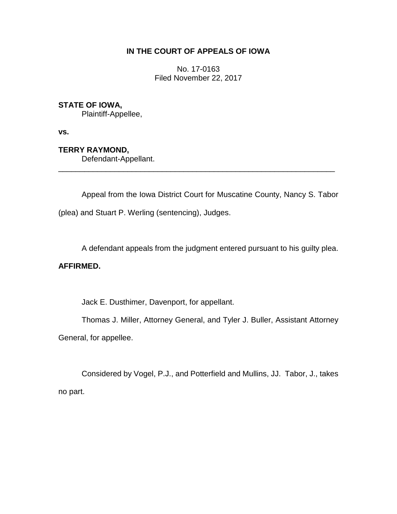# **IN THE COURT OF APPEALS OF IOWA**

No. 17-0163 Filed November 22, 2017

# **STATE OF IOWA,**

Plaintiff-Appellee,

**vs.**

# **TERRY RAYMOND,**

Defendant-Appellant.

Appeal from the Iowa District Court for Muscatine County, Nancy S. Tabor (plea) and Stuart P. Werling (sentencing), Judges.

\_\_\_\_\_\_\_\_\_\_\_\_\_\_\_\_\_\_\_\_\_\_\_\_\_\_\_\_\_\_\_\_\_\_\_\_\_\_\_\_\_\_\_\_\_\_\_\_\_\_\_\_\_\_\_\_\_\_\_\_\_\_\_\_

A defendant appeals from the judgment entered pursuant to his guilty plea.

## **AFFIRMED.**

Jack E. Dusthimer, Davenport, for appellant.

Thomas J. Miller, Attorney General, and Tyler J. Buller, Assistant Attorney General, for appellee.

Considered by Vogel, P.J., and Potterfield and Mullins, JJ. Tabor, J., takes no part.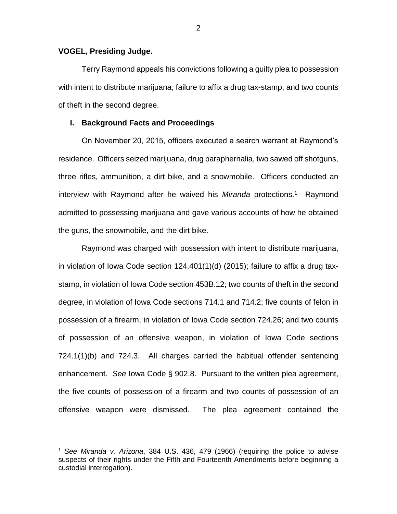## **VOGEL, Presiding Judge.**

 $\overline{a}$ 

Terry Raymond appeals his convictions following a guilty plea to possession with intent to distribute marijuana, failure to affix a drug tax-stamp, and two counts of theft in the second degree.

## **I. Background Facts and Proceedings**

On November 20, 2015, officers executed a search warrant at Raymond's residence. Officers seized marijuana, drug paraphernalia, two sawed off shotguns, three rifles, ammunition, a dirt bike, and a snowmobile. Officers conducted an interview with Raymond after he waived his Miranda protections.<sup>1</sup> Raymond admitted to possessing marijuana and gave various accounts of how he obtained the guns, the snowmobile, and the dirt bike.

Raymond was charged with possession with intent to distribute marijuana, in violation of Iowa Code section 124.401(1)(d) (2015); failure to affix a drug taxstamp, in violation of Iowa Code section 453B.12; two counts of theft in the second degree, in violation of Iowa Code sections 714.1 and 714.2; five counts of felon in possession of a firearm, in violation of Iowa Code section 724.26; and two counts of possession of an offensive weapon, in violation of Iowa Code sections 724.1(1)(b) and 724.3. All charges carried the habitual offender sentencing enhancement. *See* Iowa Code § 902.8. Pursuant to the written plea agreement, the five counts of possession of a firearm and two counts of possession of an offensive weapon were dismissed. The plea agreement contained the

<sup>1</sup> *See Miranda v. Arizona*, 384 U.S. 436, 479 (1966) (requiring the police to advise suspects of their rights under the Fifth and Fourteenth Amendments before beginning a custodial interrogation).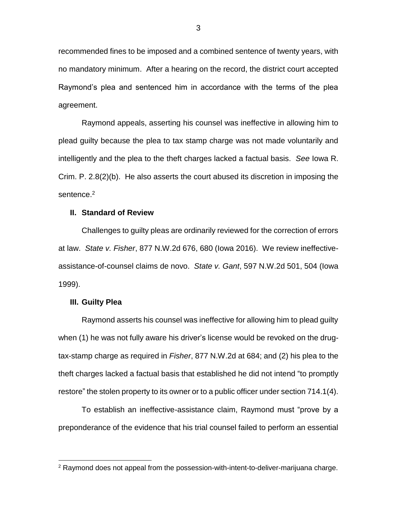recommended fines to be imposed and a combined sentence of twenty years, with no mandatory minimum. After a hearing on the record, the district court accepted Raymond's plea and sentenced him in accordance with the terms of the plea agreement.

Raymond appeals, asserting his counsel was ineffective in allowing him to plead guilty because the plea to tax stamp charge was not made voluntarily and intelligently and the plea to the theft charges lacked a factual basis. *See* Iowa R. Crim. P. 2.8(2)(b). He also asserts the court abused its discretion in imposing the sentence.<sup>2</sup>

#### **II. Standard of Review**

Challenges to guilty pleas are ordinarily reviewed for the correction of errors at law. *State v. Fisher*, 877 N.W.2d 676, 680 (Iowa 2016). We review ineffectiveassistance-of-counsel claims de novo. *State v. Gant*, 597 N.W.2d 501, 504 (Iowa 1999).

#### **III. Guilty Plea**

 $\overline{a}$ 

Raymond asserts his counsel was ineffective for allowing him to plead guilty when (1) he was not fully aware his driver's license would be revoked on the drugtax-stamp charge as required in *Fisher*, 877 N.W.2d at 684; and (2) his plea to the theft charges lacked a factual basis that established he did not intend "to promptly restore" the stolen property to its owner or to a public officer under section 714.1(4).

To establish an ineffective-assistance claim, Raymond must "prove by a preponderance of the evidence that his trial counsel failed to perform an essential

 $2$  Raymond does not appeal from the possession-with-intent-to-deliver-marijuana charge.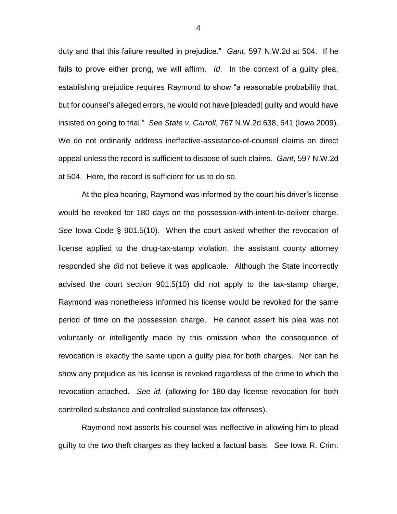duty and that this failure resulted in prejudice." *Gant*, 597 N.W.2d at 504. If he fails to prove either prong, we will affirm. *Id*. In the context of a guilty plea, establishing prejudice requires Raymond to show "a reasonable probability that, but for counsel's alleged errors, he would not have [pleaded] guilty and would have insisted on going to trial." *See State v. Carroll*, 767 N.W.2d 638, 641 (Iowa 2009). We do not ordinarily address ineffective-assistance-of-counsel claims on direct appeal unless the record is sufficient to dispose of such claims. *Gant*, 597 N.W.2d at 504. Here, the record is sufficient for us to do so.

At the plea hearing, Raymond was informed by the court his driver's license would be revoked for 180 days on the possession-with-intent-to-deliver charge. *See* Iowa Code § 901.5(10). When the court asked whether the revocation of license applied to the drug-tax-stamp violation, the assistant county attorney responded she did not believe it was applicable. Although the State incorrectly advised the court section 901.5(10) did not apply to the tax-stamp charge, Raymond was nonetheless informed his license would be revoked for the same period of time on the possession charge. He cannot assert his plea was not voluntarily or intelligently made by this omission when the consequence of revocation is exactly the same upon a guilty plea for both charges. Nor can he show any prejudice as his license is revoked regardless of the crime to which the revocation attached. *See id.* (allowing for 180-day license revocation for both controlled substance and controlled substance tax offenses).

Raymond next asserts his counsel was ineffective in allowing him to plead guilty to the two theft charges as they lacked a factual basis. *See* Iowa R. Crim.

4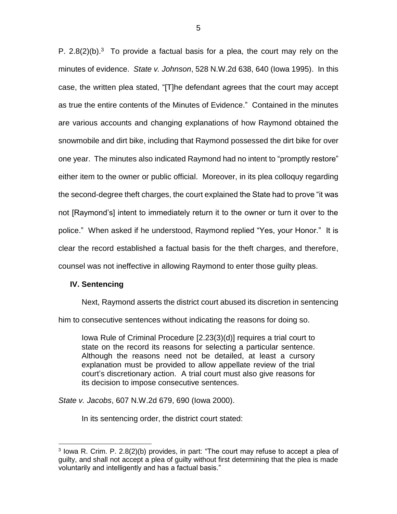P.  $2.8(2)(b).<sup>3</sup>$  To provide a factual basis for a plea, the court may rely on the minutes of evidence. *State v. Johnson*, 528 N.W.2d 638, 640 (Iowa 1995). In this case, the written plea stated, "[T]he defendant agrees that the court may accept as true the entire contents of the Minutes of Evidence." Contained in the minutes are various accounts and changing explanations of how Raymond obtained the snowmobile and dirt bike, including that Raymond possessed the dirt bike for over one year. The minutes also indicated Raymond had no intent to "promptly restore" either item to the owner or public official. Moreover, in its plea colloquy regarding the second-degree theft charges, the court explained the State had to prove "it was not [Raymond's] intent to immediately return it to the owner or turn it over to the police." When asked if he understood, Raymond replied "Yes, your Honor." It is clear the record established a factual basis for the theft charges, and therefore, counsel was not ineffective in allowing Raymond to enter those guilty pleas.

## **IV. Sentencing**

 $\overline{a}$ 

Next, Raymond asserts the district court abused its discretion in sentencing him to consecutive sentences without indicating the reasons for doing so.

Iowa Rule of Criminal Procedure [2.23(3)(d)] requires a trial court to state on the record its reasons for selecting a particular sentence. Although the reasons need not be detailed, at least a cursory explanation must be provided to allow appellate review of the trial court's discretionary action. A trial court must also give reasons for its decision to impose consecutive sentences.

*State v. Jacobs*, 607 N.W.2d 679, 690 (Iowa 2000).

In its sentencing order, the district court stated:

<sup>&</sup>lt;sup>3</sup> lowa R. Crim. P. 2.8(2)(b) provides, in part: "The court may refuse to accept a plea of guilty, and shall not accept a plea of guilty without first determining that the plea is made voluntarily and intelligently and has a factual basis."